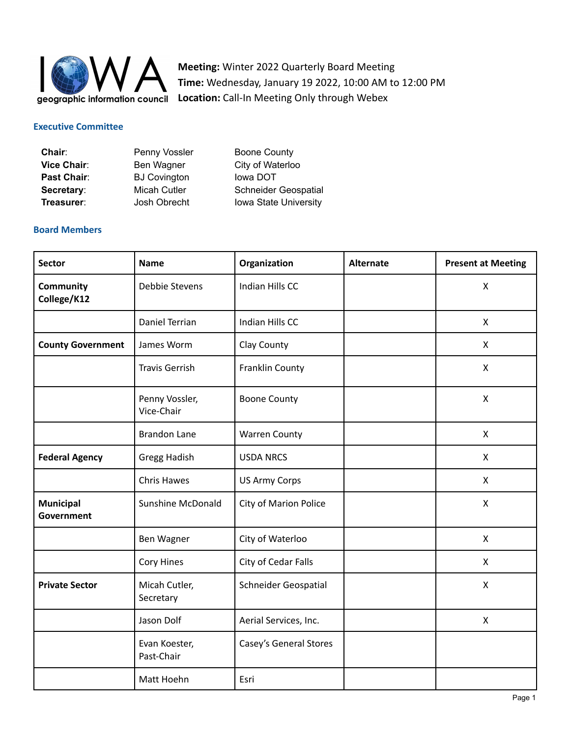

**Meeting:** Winter 2022 Quarterly Board Meeting **Time:** Wednesday, January 19 2022, 10:00 AM to 12:00 PM **Location:** Call-In Meeting Only through Webex

#### **Executive Committee**

| Chair:      | Penny Vossler       | <b>Boone County</b>          |
|-------------|---------------------|------------------------------|
| Vice Chair: | Ben Wagner          | City of Waterloo             |
| Past Chair: | <b>BJ Covington</b> | lowa DOT                     |
| Secretary:  | Micah Cutler        | <b>Schneider Geospatial</b>  |
| Treasurer:  | Josh Obrecht        | <b>Iowa State University</b> |

#### **Board Members**

| <b>Sector</b>                  | <b>Name</b>                  | Organization           | <b>Alternate</b> | <b>Present at Meeting</b> |
|--------------------------------|------------------------------|------------------------|------------------|---------------------------|
| Community<br>College/K12       | Debbie Stevens               | Indian Hills CC        |                  | $\mathsf{X}$              |
|                                | Daniel Terrian               | Indian Hills CC        |                  | $\mathsf{X}$              |
| <b>County Government</b>       | James Worm                   | Clay County            |                  | $\mathsf{X}$              |
|                                | <b>Travis Gerrish</b>        | Franklin County        |                  | X                         |
|                                | Penny Vossler,<br>Vice-Chair | <b>Boone County</b>    |                  | X                         |
|                                | <b>Brandon Lane</b>          | <b>Warren County</b>   |                  | X                         |
| <b>Federal Agency</b>          | <b>Gregg Hadish</b>          | <b>USDA NRCS</b>       |                  | X                         |
|                                | <b>Chris Hawes</b>           | <b>US Army Corps</b>   |                  | $\mathsf{X}$              |
| <b>Municipal</b><br>Government | Sunshine McDonald            | City of Marion Police  |                  | X                         |
|                                | Ben Wagner                   | City of Waterloo       |                  | X                         |
|                                | Cory Hines                   | City of Cedar Falls    |                  | X                         |
| <b>Private Sector</b>          | Micah Cutler,<br>Secretary   | Schneider Geospatial   |                  | $\mathsf{X}$              |
|                                | Jason Dolf                   | Aerial Services, Inc.  |                  | X                         |
|                                | Evan Koester,<br>Past-Chair  | Casey's General Stores |                  |                           |
|                                | Matt Hoehn                   | Esri                   |                  |                           |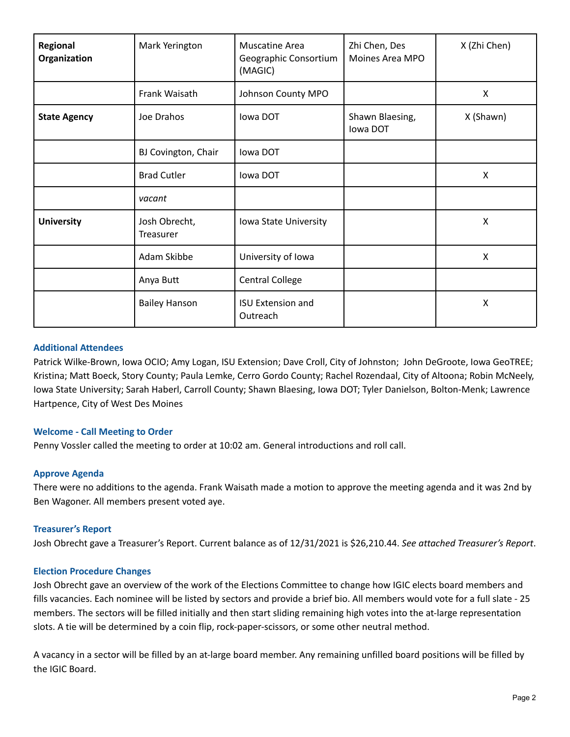| Regional<br>Organization | Mark Yerington             | Muscatine Area<br>Geographic Consortium<br>(MAGIC) | Zhi Chen, Des<br>Moines Area MPO | X (Zhi Chen) |
|--------------------------|----------------------------|----------------------------------------------------|----------------------------------|--------------|
|                          | Frank Waisath              | Johnson County MPO                                 |                                  | X            |
| <b>State Agency</b>      | Joe Drahos                 | lowa DOT                                           | Shawn Blaesing,<br>lowa DOT      | X (Shawn)    |
|                          | BJ Covington, Chair        | lowa DOT                                           |                                  |              |
|                          | <b>Brad Cutler</b>         | lowa DOT                                           |                                  | X            |
|                          | vacant                     |                                                    |                                  |              |
| <b>University</b>        | Josh Obrecht,<br>Treasurer | Iowa State University                              |                                  | Χ            |
|                          | Adam Skibbe                | University of Iowa                                 |                                  | X            |
|                          | Anya Butt                  | <b>Central College</b>                             |                                  |              |
|                          | <b>Bailey Hanson</b>       | <b>ISU Extension and</b><br>Outreach               |                                  | Χ            |

## **Additional Attendees**

Patrick Wilke-Brown, Iowa OCIO; Amy Logan, ISU Extension; Dave Croll, City of Johnston; John DeGroote, Iowa GeoTREE; Kristina; Matt Boeck, Story County; Paula Lemke, Cerro Gordo County; Rachel Rozendaal, City of Altoona; Robin McNeely, Iowa State University; Sarah Haberl, Carroll County; Shawn Blaesing, Iowa DOT; Tyler Danielson, Bolton-Menk; Lawrence Hartpence, City of West Des Moines

#### **Welcome - Call Meeting to Order**

Penny Vossler called the meeting to order at 10:02 am. General introductions and roll call.

## **Approve Agenda**

There were no additions to the agenda. Frank Waisath made a motion to approve the meeting agenda and it was 2nd by Ben Wagoner. All members present voted aye.

## **Treasurer's Report**

Josh Obrecht gave a Treasurer's Report. Current balance as of 12/31/2021 is \$26,210.44. *See attached Treasurer's Report*.

#### **Election Procedure Changes**

Josh Obrecht gave an overview of the work of the Elections Committee to change how IGIC elects board members and fills vacancies. Each nominee will be listed by sectors and provide a brief bio. All members would vote for a full slate - 25 members. The sectors will be filled initially and then start sliding remaining high votes into the at-large representation slots. A tie will be determined by a coin flip, rock-paper-scissors, or some other neutral method.

A vacancy in a sector will be filled by an at-large board member. Any remaining unfilled board positions will be filled by the IGIC Board.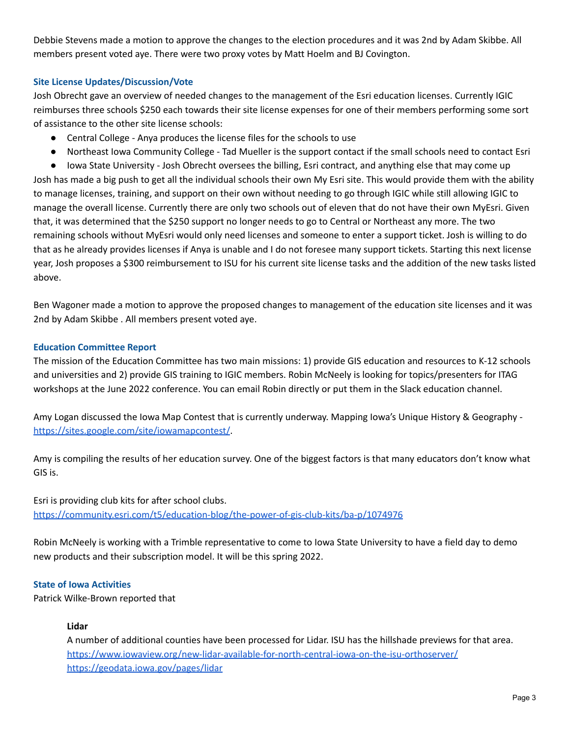Debbie Stevens made a motion to approve the changes to the election procedures and it was 2nd by Adam Skibbe. All members present voted aye. There were two proxy votes by Matt Hoelm and BJ Covington.

# **Site License Updates/Discussion/Vote**

Josh Obrecht gave an overview of needed changes to the management of the Esri education licenses. Currently IGIC reimburses three schools \$250 each towards their site license expenses for one of their members performing some sort of assistance to the other site license schools:

- Central College Anya produces the license files for the schools to use
- Northeast Iowa Community College Tad Mueller is the support contact if the small schools need to contact Esri

● Iowa State University - Josh Obrecht oversees the billing, Esri contract, and anything else that may come up Josh has made a big push to get all the individual schools their own My Esri site. This would provide them with the ability to manage licenses, training, and support on their own without needing to go through IGIC while still allowing IGIC to manage the overall license. Currently there are only two schools out of eleven that do not have their own MyEsri. Given that, it was determined that the \$250 support no longer needs to go to Central or Northeast any more. The two remaining schools without MyEsri would only need licenses and someone to enter a support ticket. Josh is willing to do that as he already provides licenses if Anya is unable and I do not foresee many support tickets. Starting this next license year, Josh proposes a \$300 reimbursement to ISU for his current site license tasks and the addition of the new tasks listed above.

Ben Wagoner made a motion to approve the proposed changes to management of the education site licenses and it was 2nd by Adam Skibbe . All members present voted aye.

## **Education Committee Report**

The mission of the Education Committee has two main missions: 1) provide GIS education and resources to K-12 schools and universities and 2) provide GIS training to IGIC members. Robin McNeely is looking for topics/presenters for ITAG workshops at the June 2022 conference. You can email Robin directly or put them in the Slack education channel.

Amy Logan discussed the Iowa Map Contest that is currently underway. Mapping Iowa's Unique History & Geography <https://sites.google.com/site/iowamapcontest/>.

Amy is compiling the results of her education survey. One of the biggest factors is that many educators don't know what GIS is.

Esri is providing club kits for after school clubs. <https://community.esri.com/t5/education-blog/the-power-of-gis-club-kits/ba-p/1074976>

Robin McNeely is working with a Trimble representative to come to Iowa State University to have a field day to demo new products and their subscription model. It will be this spring 2022.

## **State of Iowa Activities**

Patrick Wilke-Brown reported that

## **Lidar**

A number of additional counties have been processed for Lidar. ISU has the hillshade previews for that area. <https://www.iowaview.org/new-lidar-available-for-north-central-iowa-on-the-isu-orthoserver/> <https://geodata.iowa.gov/pages/lidar>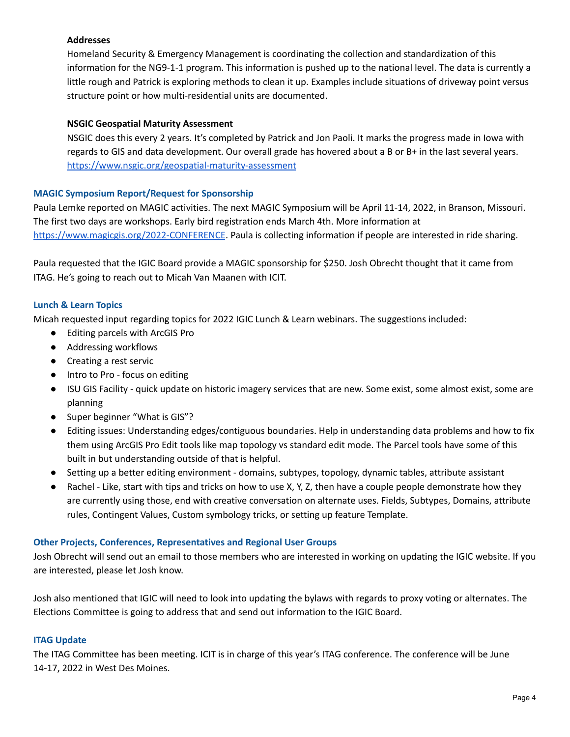# **Addresses**

Homeland Security & Emergency Management is coordinating the collection and standardization of this information for the NG9-1-1 program. This information is pushed up to the national level. The data is currently a little rough and Patrick is exploring methods to clean it up. Examples include situations of driveway point versus structure point or how multi-residential units are documented.

## **NSGIC Geospatial Maturity Assessment**

NSGIC does this every 2 years. It's completed by Patrick and Jon Paoli. It marks the progress made in Iowa with regards to GIS and data development. Our overall grade has hovered about a B or B+ in the last several years. <https://www.nsgic.org/geospatial-maturity-assessment>

## **MAGIC Symposium Report/Request for Sponsorship**

Paula Lemke reported on MAGIC activities. The next MAGIC Symposium will be April 11-14, 2022, in Branson, Missouri. The first two days are workshops. Early bird registration ends March 4th. More information at <https://www.magicgis.org/2022-CONFERENCE>. Paula is collecting information if people are interested in ride sharing.

Paula requested that the IGIC Board provide a MAGIC sponsorship for \$250. Josh Obrecht thought that it came from ITAG. He's going to reach out to Micah Van Maanen with ICIT.

# **Lunch & Learn Topics**

Micah requested input regarding topics for 2022 IGIC Lunch & Learn webinars. The suggestions included:

- Editing parcels with ArcGIS Pro
- Addressing workflows
- Creating a rest servic
- Intro to Pro focus on editing
- ISU GIS Facility quick update on historic imagery services that are new. Some exist, some almost exist, some are planning
- Super beginner "What is GIS"?
- Editing issues: Understanding edges/contiguous boundaries. Help in understanding data problems and how to fix them using ArcGIS Pro Edit tools like map topology vs standard edit mode. The Parcel tools have some of this built in but understanding outside of that is helpful.
- Setting up a better editing environment domains, subtypes, topology, dynamic tables, attribute assistant
- Rachel Like, start with tips and tricks on how to use X, Y, Z, then have a couple people demonstrate how they are currently using those, end with creative conversation on alternate uses. Fields, Subtypes, Domains, attribute rules, Contingent Values, Custom symbology tricks, or setting up feature Template.

## **Other Projects, Conferences, Representatives and Regional User Groups**

Josh Obrecht will send out an email to those members who are interested in working on updating the IGIC website. If you are interested, please let Josh know.

Josh also mentioned that IGIC will need to look into updating the bylaws with regards to proxy voting or alternates. The Elections Committee is going to address that and send out information to the IGIC Board.

## **ITAG Update**

The ITAG Committee has been meeting. ICIT is in charge of this year's ITAG conference. The conference will be June 14-17, 2022 in West Des Moines.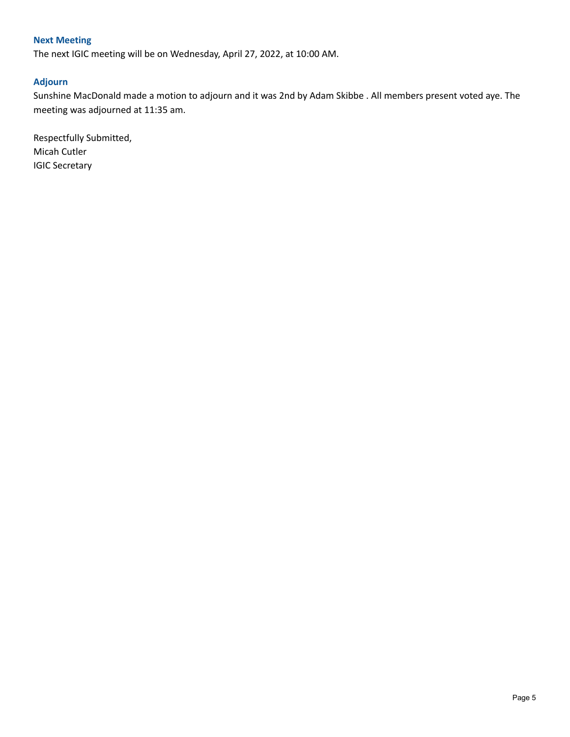# **Next Meeting**

The next IGIC meeting will be on Wednesday, April 27, 2022, at 10:00 AM.

## **Adjourn**

Sunshine MacDonald made a motion to adjourn and it was 2nd by Adam Skibbe . All members present voted aye. The meeting was adjourned at 11:35 am.

Respectfully Submitted, Micah Cutler IGIC Secretary